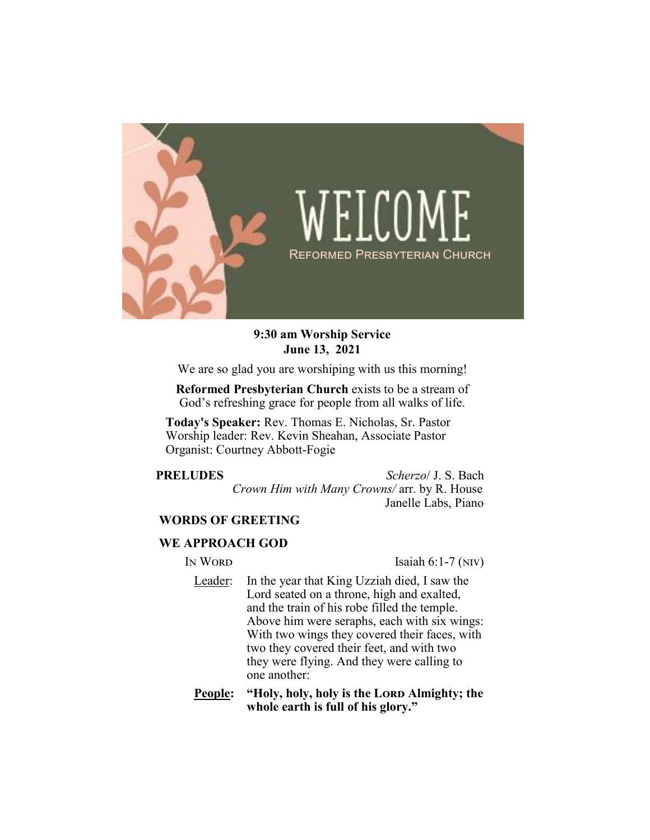

**9:30 am Worship Service June 13, 2021** 

We are so glad you are worshiping with us this morning!

**Reformed Presbyterian Church** exists to be a stream of God's refreshing grace for people from all walks of life.

**Today's Speaker:** Rev. Thomas E. Nicholas, Sr. Pastor Worship leader: Rev. Kevin Sheahan, Associate Pastor Organist: Courtney Abbott-Fogie

#### **PRELUDES** *Scherzo*/ J. S. Bach

 *Crown Him with Many Crowns/* arr. by R. House Janelle Labs, Piano

#### **WORDS OF GREETING**

#### **WE APPROACH GOD**

 $\sqrt{\frac{1}{N}}$  Isaiah 6:1-7 (NIV)

- Leader: In the year that King Uzziah died, I saw the Lord seated on a throne, high and exalted, and the train of his robe filled the temple. Above him were seraphs, each with six wings: With two wings they covered their faces, with two they covered their feet, and with two they were flying. And they were calling to one another:
- **People:** "Holy, holy, holy is the LORD Almighty; the **whole earth is full of his glory."**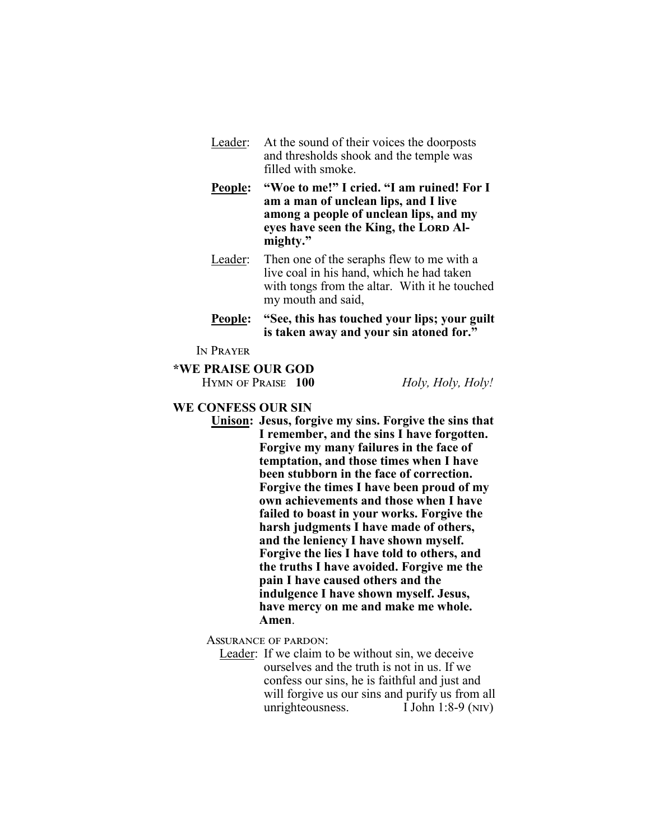Leader: At the sound of their voices the doorposts and thresholds shook and the temple was filled with smoke.

**People: "Woe to me!" I cried. "I am ruined! For I am a man of unclean lips, and I live among a people of unclean lips, and my**  eyes have seen the King, the LORD Al**mighty."** 

- Leader: Then one of the seraphs flew to me with a live coal in his hand, which he had taken with tongs from the altar. With it he touched my mouth and said,
- **People: "See, this has touched your lips; your guilt is taken away and your sin atoned for."**

IN PRAYER

#### **\*WE PRAISE OUR GOD**

HYMN OF PRAISE 100 *Holy, Holy, Holy!* 

#### **WE CONFESS OUR SIN**

**Unison: Jesus, forgive my sins. Forgive the sins that I remember, and the sins I have forgotten. Forgive my many failures in the face of temptation, and those times when I have been stubborn in the face of correction. Forgive the times I have been proud of my own achievements and those when I have failed to boast in your works. Forgive the harsh judgments I have made of others, and the leniency I have shown myself. Forgive the lies I have told to others, and the truths I have avoided. Forgive me the pain I have caused others and the indulgence I have shown myself. Jesus, have mercy on me and make me whole. Amen**.

ASSURANCE OF PARDON:

 Leader: If we claim to be without sin, we deceive ourselves and the truth is not in us. If we confess our sins, he is faithful and just and will forgive us our sins and purify us from all unrighteousness. I John  $1:8-9$  (NIV)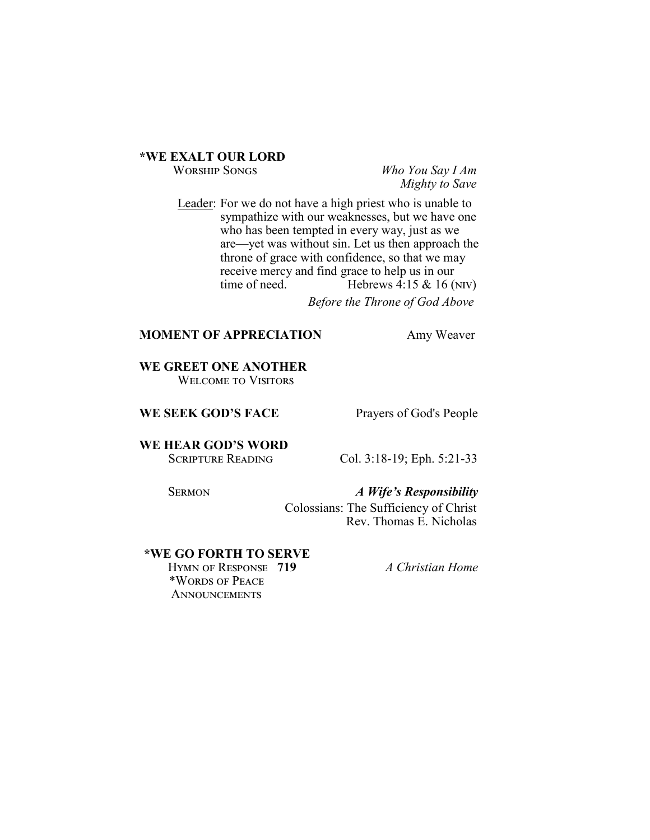# **\*WE EXALT OUR LORD**

Who You Say I Am  *Mighty to Save*

Leader: For we do not have a high priest who is unable to sympathize with our weaknesses, but we have one who has been tempted in every way, just as we are—yet was without sin. Let us then approach the throne of grace with confidence, so that we may receive mercy and find grace to help us in our time of need. Hebrews  $4:15 \& 16$  (NIV)  *Before the Throne of God Above* 

#### **MOMENT OF APPRECIATION** Amy Weaver

**WE GREET ONE ANOTHER** WELCOME TO VISITORS

#### WE SEEK GOD'S FACE Prayers of God's People

## **WE HEAR GOD'S WORD**

SCRIPTURE READING Col. 3:18-19; Eph. 5:21-33

#### SERMON *A Wife's Responsibility*

 Colossians: The Sufficiency of Christ Rev. Thomas E. Nicholas

#### **\*WE GO FORTH TO SERVE**

HYMN OF RESPONSE 719 *A Christian Home* \*WORDS OF PEACE **ANNOUNCEMENTS**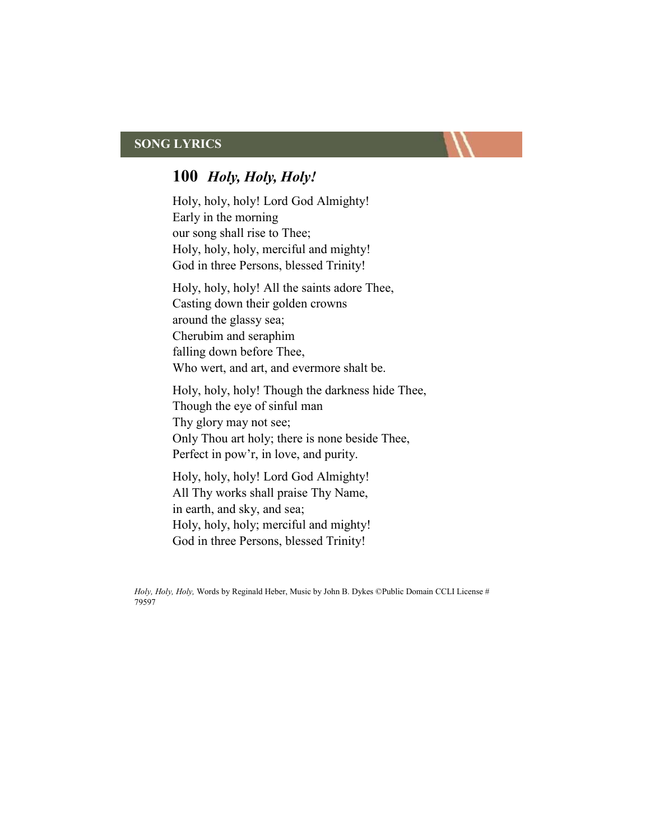## **SONG LYRICS**

## **100** *Holy, Holy, Holy!*

Holy, holy, holy! Lord God Almighty! Early in the morning our song shall rise to Thee; Holy, holy, holy, merciful and mighty! God in three Persons, blessed Trinity!

Holy, holy, holy! All the saints adore Thee, Casting down their golden crowns around the glassy sea; Cherubim and seraphim falling down before Thee, Who wert, and art, and evermore shalt be.

Holy, holy, holy! Though the darkness hide Thee, Though the eye of sinful man Thy glory may not see; Only Thou art holy; there is none beside Thee, Perfect in pow'r, in love, and purity.

Holy, holy, holy! Lord God Almighty! All Thy works shall praise Thy Name, in earth, and sky, and sea; Holy, holy, holy; merciful and mighty! God in three Persons, blessed Trinity!

*Holy, Holy, Holy,* Words by Reginald Heber, Music by John B. Dykes ©Public Domain CCLI License # 79597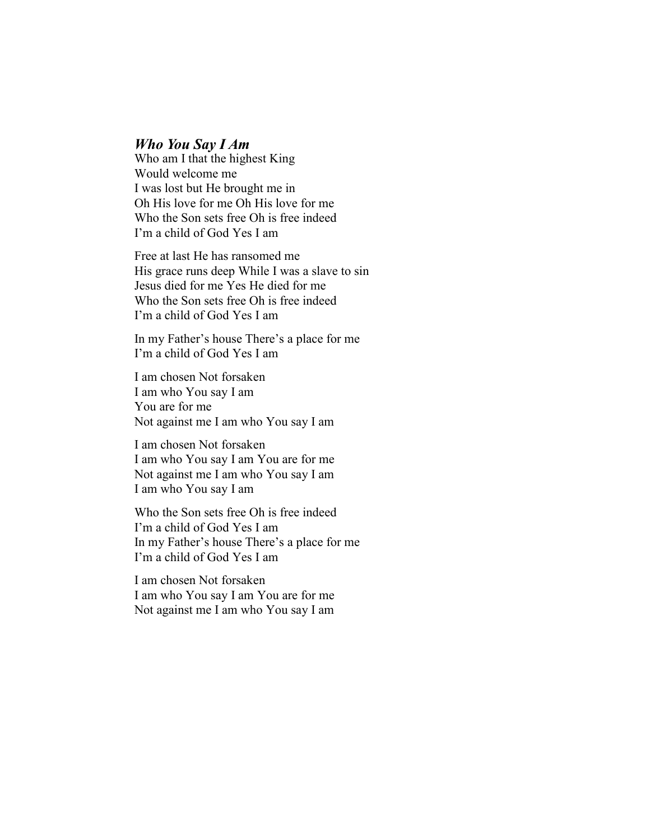#### *Who You Say I Am*

Who am I that the highest King Would welcome me I was lost but He brought me in Oh His love for me Oh His love for me Who the Son sets free Oh is free indeed I'm a child of God Yes I am

Free at last He has ransomed me His grace runs deep While I was a slave to sin Jesus died for me Yes He died for me Who the Son sets free Oh is free indeed I'm a child of God Yes I am

In my Father's house There's a place for me I'm a child of God Yes I am

I am chosen Not forsaken I am who You say I am You are for me Not against me I am who You say I am

I am chosen Not forsaken I am who You say I am You are for me Not against me I am who You say I am I am who You say I am

Who the Son sets free Oh is free indeed I'm a child of God Yes I am In my Father's house There's a place for me I'm a child of God Yes I am

I am chosen Not forsaken I am who You say I am You are for me Not against me I am who You say I am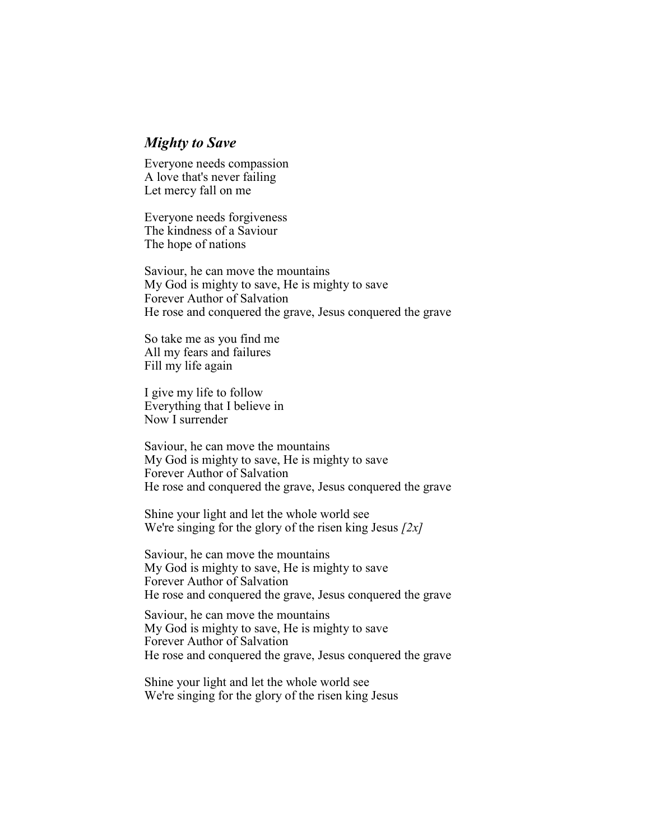## *Mighty to Save*

Everyone needs compassion A love that's never failing Let mercy fall on me

Everyone needs forgiveness The kindness of a Saviour The hope of nations

Saviour, he can move the mountains My God is mighty to save, He is mighty to save Forever Author of Salvation He rose and conquered the grave, Jesus conquered the grave

So take me as you find me All my fears and failures Fill my life again

I give my life to follow Everything that I believe in Now I surrender

Saviour, he can move the mountains My God is mighty to save, He is mighty to save Forever Author of Salvation He rose and conquered the grave, Jesus conquered the grave

Shine your light and let the whole world see We're singing for the glory of the risen king Jesus *[2x]*

Saviour, he can move the mountains My God is mighty to save, He is mighty to save Forever Author of Salvation He rose and conquered the grave, Jesus conquered the grave

Saviour, he can move the mountains My God is mighty to save, He is mighty to save Forever Author of Salvation He rose and conquered the grave, Jesus conquered the grave

Shine your light and let the whole world see We're singing for the glory of the risen king Jesus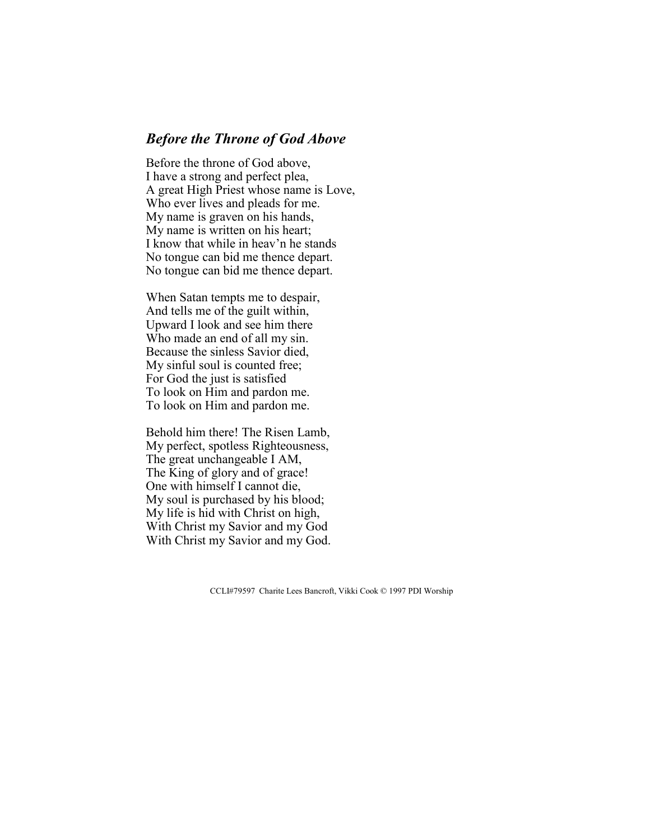### *Before the Throne of God Above*

Before the throne of God above, I have a strong and perfect plea, A great High Priest whose name is Love, Who ever lives and pleads for me. My name is graven on his hands, My name is written on his heart; I know that while in heav'n he stands No tongue can bid me thence depart. No tongue can bid me thence depart.

When Satan tempts me to despair, And tells me of the guilt within, Upward I look and see him there Who made an end of all my sin. Because the sinless Savior died, My sinful soul is counted free; For God the just is satisfied To look on Him and pardon me. To look on Him and pardon me.

Behold him there! The Risen Lamb, My perfect, spotless Righteousness, The great unchangeable I AM, The King of glory and of grace! One with himself I cannot die, My soul is purchased by his blood; My life is hid with Christ on high, With Christ my Savior and my God With Christ my Savior and my God.

CCLI#79597 Charite Lees Bancroft, Vikki Cook © 1997 PDI Worship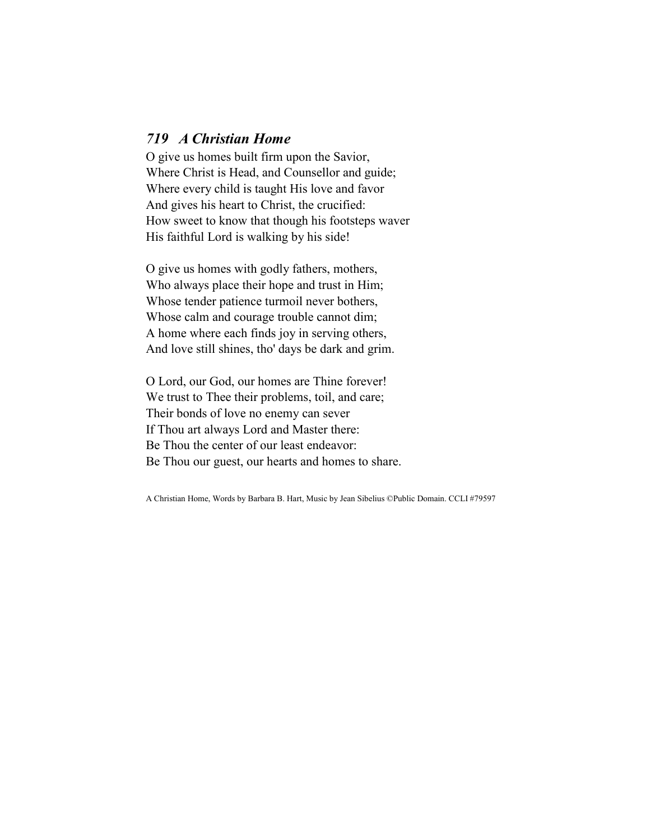#### *719 A Christian Home*

O give us homes built firm upon the Savior, Where Christ is Head, and Counsellor and guide; Where every child is taught His love and favor And gives his heart to Christ, the crucified: How sweet to know that though his footsteps waver His faithful Lord is walking by his side!

O give us homes with godly fathers, mothers, Who always place their hope and trust in Him; Whose tender patience turmoil never bothers, Whose calm and courage trouble cannot dim; A home where each finds joy in serving others, And love still shines, tho' days be dark and grim.

O Lord, our God, our homes are Thine forever! We trust to Thee their problems, toil, and care; Their bonds of love no enemy can sever If Thou art always Lord and Master there: Be Thou the center of our least endeavor: Be Thou our guest, our hearts and homes to share.

A Christian Home, Words by Barbara B. Hart, Music by Jean Sibelius ©Public Domain. CCLI #79597